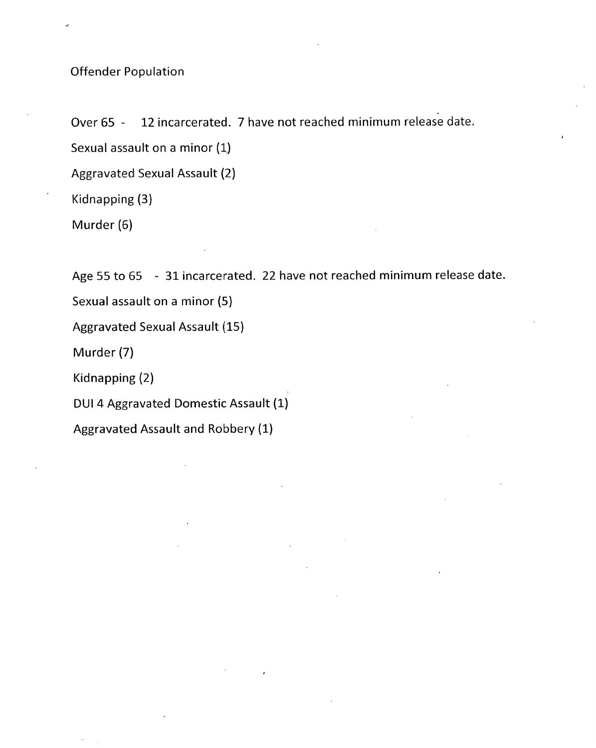Offender Population

Over 65 - 12 incarcerated. 7 have not reached minimum release date.

Sexual assault on a minor (1,)

Aggravated Sexual Assault (2)

Kidnapping (3)

Murder (6)

Age 55 to 65 - 31 incarcerated. 22 have not reached minimum release date.

Sexual assault on a minor (5)

Aggravated Sexual Assault (15)

Murder (7)

Kidnapping (2)

DUI 4 Aggravated Domestic Assault (1)

Aggravated Assault and Robbery (1)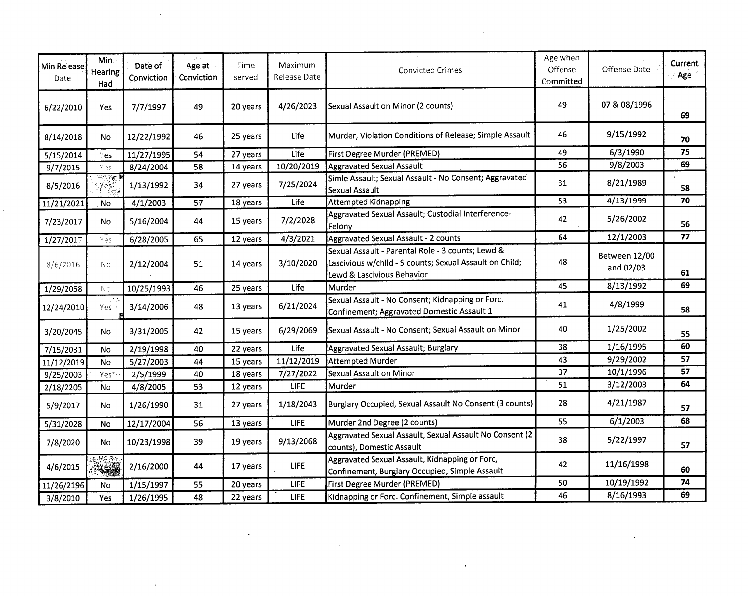| Min Release<br>Date | Min.<br>Hearing<br>Had   | Date of<br>Conviction | Age at<br>Conviction | Time<br>served | Maximum<br>Release Date | Convicted Crimes                                                                                                                           | Age when<br>Offense<br>Committed | Offense Date               | Current<br>Age  |
|---------------------|--------------------------|-----------------------|----------------------|----------------|-------------------------|--------------------------------------------------------------------------------------------------------------------------------------------|----------------------------------|----------------------------|-----------------|
| 6/22/2010           | Yes                      | 7/7/1997              | 49                   | 20 years       | 4/26/2023               | Sexual Assault on Minor (2 counts)                                                                                                         | 49                               | 07 & 08/1996               | 69              |
| 8/14/2018           | No                       | 12/22/1992            | 46                   | 25 years       | Life                    | Murder; Violation Conditions of Release; Simple Assault                                                                                    | 46                               | 9/15/1992                  | 70              |
| 5/15/2014           | Yes.                     | 11/27/1995            | 54                   | 27 years       | Life                    | First Degree Murder (PREMED)                                                                                                               | 49                               | 6/3/1990                   | 75              |
| 9/7/2015            | Yes                      | 8/24/2004             | 58                   | 14 years       | 10/20/2019              | <b>Aggravated Sexual Assault</b>                                                                                                           | 56                               | 9/8/2003                   | 69              |
| 8/5/2016            | ल्ल≹ट<br>∆γesឺ,          | 1/13/1992             | 34                   | 27 years       | 7/25/2024               | Simle Assault; Sexual Assault - No Consent; Aggravated<br>Sexual Assault                                                                   | 31                               | 8/21/1989                  | 58              |
| 11/21/2021          | No                       | 4/1/2003              | 57                   | 18 years       | Life                    | <b>Attempted Kidnapping</b>                                                                                                                | 53                               | 4/13/1999                  | 70              |
| 7/23/2017           | No                       | 5/16/2004             | 44                   | 15 years       | 7/2/2028                | Aggravated Sexual Assault; Custodial Interference-<br>Felony                                                                               | 42                               | 5/26/2002                  | 56              |
| 1/27/2017           | Yes                      | 6/28/2005             | 65                   | 12 years       | 4/3/2021                | Aggravated Sexual Assault - 2 counts                                                                                                       | 64                               | 12/1/2003                  | $\overline{77}$ |
| 8/6/2016            | No.                      | 2/12/2004             | 51                   | 14 years       | 3/10/2020               | Sexual Assault - Parental Role - 3 counts; Lewd &<br>Lascivious w/child - 5 counts; Sexual Assault on Child;<br>Lewd & Lascivious Behavior | 48                               | Between 12/00<br>and 02/03 | 61              |
| 1/29/2058           | No.                      | 10/25/1993            | 46                   | 25 years       | Life                    | Murder                                                                                                                                     | 45                               | 8/13/1992                  | 69              |
| 12/24/2010          | Yes                      | 3/14/2006             | 48                   | 13 years       | 6/21/2024               | Sexual Assault - No Consent; Kidnapping or Forc.<br>Confinement; Aggravated Domestic Assault 1                                             | 41                               | 4/8/1999                   | 58              |
| 3/20/2045           | No                       | 3/31/2005             | 42                   | 15 years       | 6/29/2069               | Sexual Assault - No Consent; Sexual Assault on Minor                                                                                       | 40                               | 1/25/2002                  | 55              |
| 7/15/2031           | No.                      | 2/19/1998             | 40                   | 22 years       | Life                    | Aggravated Sexual Assault; Burglary                                                                                                        | 38                               | 1/16/1995                  | 60              |
| 11/12/2019          | No                       | 5/27/2003             | 44                   | 15 years       | 11/12/2019              | <b>Attempted Murder</b>                                                                                                                    | 43                               | 9/29/2002                  | 57              |
| 9/25/2003           | Yes <sup>+</sup>         | 2/5/1999              | 40                   | 18 years       | 7/27/2022               | Sexual Assault on Minor                                                                                                                    | 37                               | 10/1/1996                  | 57              |
| 2/18/2205           | No                       | 4/8/2005              | 53                   | 12 years       | <b>LIFE</b>             | Murder                                                                                                                                     | 51                               | 3/12/2003                  | 64              |
| 5/9/2017            | No                       | 1/26/1990             | 31                   | 27 years       | 1/18/2043               | Burglary Occupied, Sexual Assault No Consent (3 counts)                                                                                    | 28                               | 4/21/1987                  | 57              |
| 5/31/2028           | No                       | 12/17/2004            | 56                   | 13 years       | <b>LIFE</b>             | Murder 2nd Degree (2 counts)                                                                                                               | 55                               | 6/1/2003                   | 68              |
| 7/8/2020            | No                       | 10/23/1998            | 39                   | 19 years       | 9/13/2068               | Aggravated Sexual Assault, Sexual Assault No Consent (2)<br>counts), Domestic Assault                                                      | 38                               | 5/22/1997                  | 57              |
| 4/6/2015            | 电静态晶体<br><b>RESIDENT</b> | 2/16/2000             | 44                   | 17 years       | <b>LIFE</b>             | Aggravated Sexual Assault, Kidnapping or Forc,<br>Confinement, Burglary Occupied, Simple Assault                                           | 42                               | 11/16/1998                 | 60              |
| 11/26/2196          | No                       | 1/15/1997             | 55                   | 20 years       | <b>LIFE</b>             | First Degree Murder (PREMED)                                                                                                               | 50                               | 10/19/1992                 | 74              |
| 3/8/2010            | Yes                      | 1/26/1995             | 48                   | 22 years       | <b>LIFE</b>             | Kidnapping or Forc. Confinement, Simple assault                                                                                            | 46                               | 8/16/1993                  | 69              |

 $\sim 10^{11}$  km  $^{-1}$ 

 $\mathcal{L}(\mathcal{L})$  .

 $\mathcal{A}^{\pm}$ 

 $\mathcal{L}^{\text{max}}_{\text{max}}$  and  $\mathcal{L}^{\text{max}}_{\text{max}}$ 

 $\mathbf{v} = \mathbf{v}$ 

 $\sim 100$  km s  $^{-1}$ 

 $\mathcal{L}^{\text{max}}_{\text{max}}$